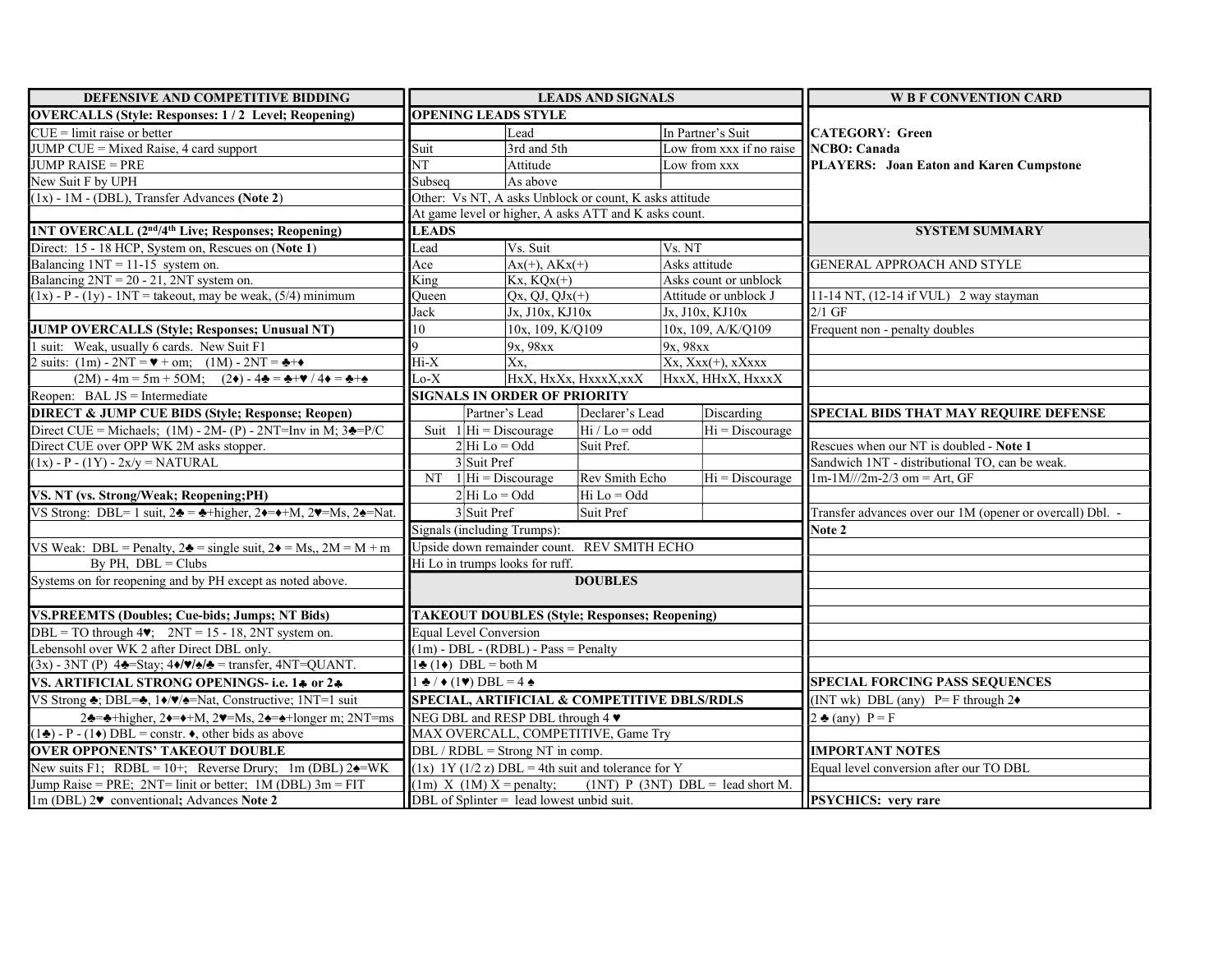| DEFENSIVE AND COMPETITIVE BIDDING                                                                                                             | <b>LEADS AND SIGNALS</b>                                           |                                                        |                       | <b>W B F CONVENTION CARD</b>            |                                                           |  |
|-----------------------------------------------------------------------------------------------------------------------------------------------|--------------------------------------------------------------------|--------------------------------------------------------|-----------------------|-----------------------------------------|-----------------------------------------------------------|--|
| <b>OVERCALLS (Style: Responses: 1/2 Level; Reopening)</b>                                                                                     | <b>OPENING LEADS STYLE</b>                                         |                                                        |                       |                                         |                                                           |  |
| $CUE = limit$ raise or better                                                                                                                 |                                                                    | Lead                                                   |                       | In Partner's Suit                       | CATEGORY: Green                                           |  |
| JUMP CUE = Mixed Raise, 4 card support                                                                                                        | Suit                                                               | 3rd and 5th                                            |                       | Low from xxx if no raise                | NCBO: Canada                                              |  |
| JUMP RAISE = PRE                                                                                                                              | NT<br>Attitude                                                     |                                                        | Low from xxx          | PLAYERS: Joan Eaton and Karen Cumpstone |                                                           |  |
| New Suit F by UPH                                                                                                                             | Subseq<br>As above                                                 |                                                        |                       |                                         |                                                           |  |
| $(1x) - 1M - (DBL)$ , Transfer Advances (Note 2)                                                                                              |                                                                    | Other: Vs NT, A asks Unblock or count, K asks attitude |                       |                                         |                                                           |  |
|                                                                                                                                               |                                                                    | At game level or higher, A asks ATT and K asks count.  |                       |                                         |                                                           |  |
| <b>INT OVERCALL (2nd/4th Live; Responses; Reopening)</b>                                                                                      | <b>LEADS</b>                                                       |                                                        |                       |                                         | <b>SYSTEM SUMMARY</b>                                     |  |
| Direct: 15 - 18 HCP, System on, Rescues on (Note 1)                                                                                           | Lead                                                               | Vs. Suit                                               |                       | Vs. NT                                  |                                                           |  |
| Balancing $1NT = 11-15$ system on.                                                                                                            | Ace<br>$Ax(+)$ , $AKx(+)$                                          |                                                        | Asks attitude         | GENERAL APPROACH AND STYLE              |                                                           |  |
| Balancing $2NT = 20 - 21$ , $2NT$ system on.                                                                                                  |                                                                    | $Kx, KQx(+)$<br>King                                   |                       | Asks count or unblock                   |                                                           |  |
| $(1x)$ - P - $(1y)$ - 1NT = takeout, may be weak, $(5/4)$ minimum                                                                             | Oueen                                                              | $Qx, QJ, QJx(+)$                                       |                       | Attitude or unblock J                   | 11-14 NT, (12-14 if VUL) 2 way stayman                    |  |
|                                                                                                                                               | Jack                                                               | Jx, J10x, KJ10x                                        |                       | Jx, J10x, KJ10x                         | $2/1$ GF                                                  |  |
| JUMP OVERCALLS (Style; Responses; Unusual NT)                                                                                                 | 10                                                                 | 10x, 109, K/Q109                                       |                       | 10x, 109, A/K/Q109                      | Frequent non - penalty doubles                            |  |
| 1 suit: Weak, usually 6 cards. New Suit F1                                                                                                    |                                                                    | 9x, 98xx                                               |                       | 9x, 98xx                                |                                                           |  |
| 2 suits: $(1m) - 2NT = \mathbf{v} + om$ ; $(1M) - 2NT = \mathbf{A} + \mathbf{v}$                                                              | $\overline{Hi-X}$                                                  | Xx.                                                    |                       | $Xx, Xxx(+)$ , xXxxx                    |                                                           |  |
| $(2M) - 4m = 5m + 5OM;$ $(2\bullet) - 4\clubsuit = \clubsuit + \blacktriangledown / 4\spadesuit = \clubsuit + \spadesuit$                     | $Lo-X$                                                             |                                                        | HxX, HxXx, HxxxX, xxX | HxxX, HHxX, HxxxX                       |                                                           |  |
| Reopen: BAL JS = Intermediate                                                                                                                 |                                                                    | <b>SIGNALS IN ORDER OF PRIORITY</b>                    |                       |                                         |                                                           |  |
| <b>DIRECT &amp; JUMP CUE BIDS (Style; Response; Reopen)</b>                                                                                   |                                                                    | Partner's Lead                                         | Declarer's Lead       | Discarding                              | <b>SPECIAL BIDS THAT MAY REQUIRE DEFENSE</b>              |  |
| Direct CUE = Michaels; $(1M) - 2M - (P) - 2NT = Inv$ in M; $3\trianglelefteq P/C$                                                             |                                                                    | Suit $1\vert\mathrm{Hi} = \mathrm{Discourage}$         | $Hi / Lo = odd$       | $Hi = Discountage$                      |                                                           |  |
| Direct CUE over OPP WK 2M asks stopper.                                                                                                       |                                                                    | $2 Hi Lo = Odd$                                        | Suit Pref.            |                                         | Rescues when our NT is doubled - Note 1                   |  |
| $(1x) - P - (1Y) - 2x/y = NATURAL$                                                                                                            |                                                                    | 3 Suit Pref                                            |                       |                                         | Sandwich 1NT - distributional TO, can be weak.            |  |
|                                                                                                                                               |                                                                    | $NT \quad 1 Hi = Discourse$                            | Rev Smith Echo        | $Hi = Discountage$                      | $1m-1M$ ///2m-2/3 om = Art, GF                            |  |
| VS. NT (vs. Strong/Weak; Reopening; PH)                                                                                                       |                                                                    | $2 Hi Lo = Odd$                                        | Hi Lo = Odd           |                                         |                                                           |  |
| VS Strong: DBL= 1 suit, $2\clubsuit = \clubsuit + \text{higher}$ , $2\spadesuit = \clubsuit + M$ , $2\spadesuit = Ms$ , $2\spadesuit = Nat$ . | 3 Suit Pref<br>Suit Pref                                           |                                                        |                       |                                         | Transfer advances over our 1M (opener or overcall) Dbl. - |  |
|                                                                                                                                               | Signals (including Trumps):                                        |                                                        |                       |                                         | Note 2                                                    |  |
| VS Weak: DBL = Penalty, $2\triangleq$ = single suit, $2\triangleq$ = Ms,, $2M = M + m$                                                        |                                                                    | Upside down remainder count. REV SMITH ECHO            |                       |                                         |                                                           |  |
| By PH, $DBL = Clubs$                                                                                                                          |                                                                    | Hi Lo in trumps looks for ruff.                        |                       |                                         |                                                           |  |
| Systems on for reopening and by PH except as noted above.                                                                                     | <b>DOUBLES</b>                                                     |                                                        |                       |                                         |                                                           |  |
|                                                                                                                                               |                                                                    |                                                        |                       |                                         |                                                           |  |
| <b>VS.PREEMTS (Doubles; Cue-bids; Jumps; NT Bids)</b>                                                                                         |                                                                    | <b>TAKEOUT DOUBLES (Style; Responses; Reopening)</b>   |                       |                                         |                                                           |  |
| $DBL = TO$ through $4\blacktriangledown$ ; $2NT = 15 - 18$ , $2NT$ system on.                                                                 | <b>Equal Level Conversion</b>                                      |                                                        |                       |                                         |                                                           |  |
| Lebensohl over WK 2 after Direct DBL only.                                                                                                    |                                                                    | $(1m)$ - DBL - (RDBL) - Pass = Penalty                 |                       |                                         |                                                           |  |
| $(3x)$ - 3NT (P) 44 Stay; 4 $\blacklozenge/\blacktriangleright$ = transfer, 4NT=QUANT.                                                        | $1 \triangleq (1 \triangleleft)$ DBL = both M                      |                                                        |                       |                                         |                                                           |  |
| VS. ARTIFICIAL STRONG OPENINGS-i.e. 14 or 24                                                                                                  | $\triangle$ / $\triangle$ (1 $\triangledown$ ) DBL = 4 $\triangle$ |                                                        |                       |                                         | <b>SPECIAL FORCING PASS SEQUENCES</b>                     |  |
| VS Strong $\triangle$ ; DBL= $\triangle$ , 1 $\blacklozenge$ / $\blacktriangledown$ / $\triangle$ =Nat, Constructive; 1NT=1 suit              |                                                                    | SPECIAL, ARTIFICIAL & COMPETITIVE DBLS/RDLS            |                       |                                         | (INT wk) DBL (any) $P = F$ through $2\bullet$             |  |
| 24=4+higher, 2 $\leftarrow +M$ , 2 $\leftarrow$ =Ms, 2 $\leftarrow +N$ , 20=4+longer m; 2NT=ms                                                |                                                                    | NEG DBL and RESP DBL through 4 $\blacktriangledown$    |                       |                                         | $2 \triangleq$ (any) $P = F$                              |  |
| $(1\clubsuit)$ - P - (1 $\spadesuit$ ) DBL = constr. $\spadesuit$ , other bids as above                                                       |                                                                    | MAX OVERCALL, COMPETITIVE, Game Try                    |                       |                                         |                                                           |  |
| <b>OVER OPPONENTS' TAKEOUT DOUBLE</b>                                                                                                         |                                                                    | DBL / RDBL = Strong NT in comp.                        |                       |                                         | <b>IMPORTANT NOTES</b>                                    |  |
| New suits F1; RDBL = $10+$ ; Reverse Drury; 1m (DBL) 2 $\triangleq$ =WK                                                                       |                                                                    | $(1x)$ 1Y $(1/2 z)$ DBL = 4th suit and tolerance for Y |                       |                                         | Equal level conversion after our TO DBL                   |  |
| Jump Raise = PRE; 2NT= linit or better; 1M (DBL) 3m = FIT                                                                                     |                                                                    | $(1m)$ X $(1M)$ X = penalty;                           |                       | $(1NT)$ P $(3NT)$ DBL = lead short M.   |                                                           |  |
| 1m (DBL) 2 $\blacktriangledown$ conventional; Advances Note 2                                                                                 |                                                                    | DBL of Splinter = lead lowest unbid suit.              |                       |                                         | <b>PSYCHICS:</b> very rare                                |  |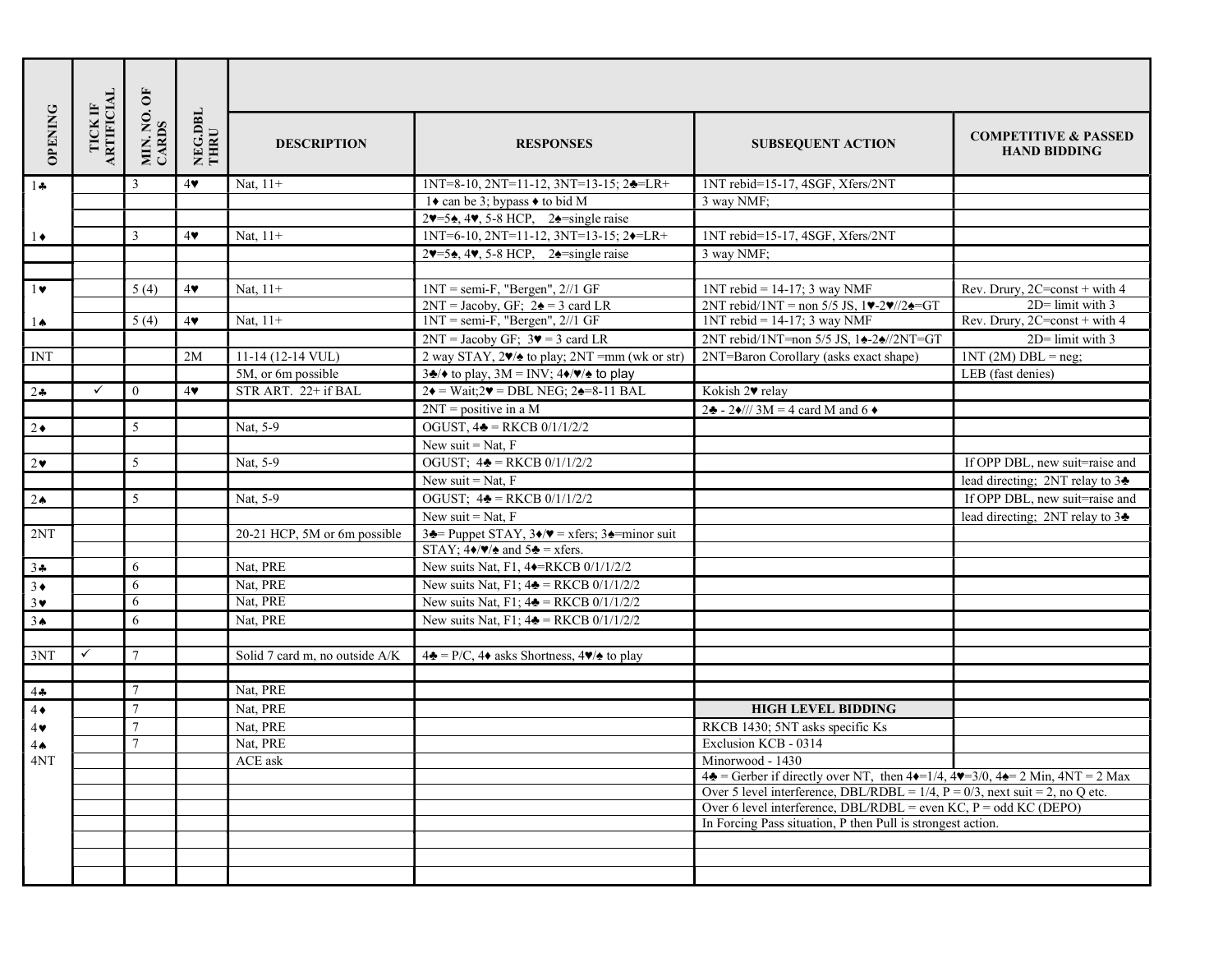| <b>OPENING</b> | TICK IF<br>ARTIFICIAL | MIN. NO. OF<br>CARDS | NEG.DBL<br>THRU | <b>DESCRIPTION</b>             | <b>RESPONSES</b>                                                                                                 | <b>SUBSEQUENT ACTION</b>                                                                                                                              | <b>COMPETITIVE &amp; PASSED</b><br><b>HAND BIDDING</b> |
|----------------|-----------------------|----------------------|-----------------|--------------------------------|------------------------------------------------------------------------------------------------------------------|-------------------------------------------------------------------------------------------------------------------------------------------------------|--------------------------------------------------------|
| $1 -$          |                       | $\overline{3}$       | 4               | Nat, $11+$                     | $1NT=8-10$ , $2NT=11-12$ , $3NT=13-15$ ; $2\triangleleft=LR+$                                                    | 1NT rebid=15-17, 4SGF, Xfers/2NT                                                                                                                      |                                                        |
|                |                       |                      |                 |                                | 1◆ can be 3; bypass ◆ to bid M                                                                                   | 3 way NMF;                                                                                                                                            |                                                        |
|                |                       |                      |                 |                                | $2\blacktriangledown$ =5 $\blacktriangle$ , 4 $\blacktriangledown$ , 5-8 HCP, 2 $\blacktriangle$ =single raise   |                                                                                                                                                       |                                                        |
| $1\bullet$     |                       | 3                    | 4               | Nat, $11+$                     | 1NT=6-10, 2NT=11-12, 3NT=13-15; 2 $\rightarrow$ =LR+                                                             | 1NT rebid=15-17, 4SGF, Xfers/2NT                                                                                                                      |                                                        |
|                |                       |                      |                 |                                | $2\blacktriangledown = 5\blacktriangle, 4\blacktriangledown, 5\text{-}8$ HCP, $2\blacktriangle =$ single raise   | 3 way NMF;                                                                                                                                            |                                                        |
|                |                       |                      |                 |                                |                                                                                                                  |                                                                                                                                                       |                                                        |
| $1 \bullet$    |                       | 5(4)                 | 4               | Nat, $11+$                     | $1NT = semi-F$ , "Bergen", $2//1$ GF                                                                             | $1NT$ rebid = 14-17; 3 way NMF                                                                                                                        | Rev. Drury, 2C=const + with 4                          |
|                |                       |                      |                 | Nat, $11+$                     | $2NT = Jacoby$ , GF; $2\spadesuit = 3$ card LR<br>$1NT = semi-F$ , "Bergen", $2//1$ GF                           | 2NT rebid/1NT = non 5/5 JS, $1\n$ 2\n//2 $\angle$ =GT<br>$1NT$ rebid = 14-17; 3 way NMF                                                               | $2D$ = limit with 3                                    |
| $1 \spadesuit$ |                       | 5(4)                 | 4               |                                |                                                                                                                  | 2NT rebid/1NT=non 5/5 JS, 14-24//2NT=GT                                                                                                               | Rev. Drury, 2C=const + with 4<br>$2D$ = limit with 3   |
| <b>INT</b>     |                       |                      | 2M              | $11-14$ (12-14 VUL)            | $2NT = Jacoby GF$ ; $3\blacktriangledown = 3$ card LR<br>2 way STAY, $2\sqrt{2}$ to play; $2NT = mm$ (wk or str) | 2NT=Baron Corollary (asks exact shape)                                                                                                                | $1NT(2M) DBL = neg;$                                   |
|                |                       |                      |                 | 5M, or 6m possible             | $3\clubsuit$ / $\blacklozenge$ to play, $3M = INV$ ; $4\blacklozenge/\blacktriangledown/\blacktriangle$ to play  |                                                                                                                                                       | LEB (fast denies)                                      |
| $2 - 2$        | $\checkmark$          | $\theta$             | $4\bullet$      | STR ART. 22+ if BAL            | $2\blacklozenge = Wait; 2\Psi = DBL NEG; 2\blacklozenge = 8-11 BAL$                                              | Kokish 2 <sup>*</sup> relay                                                                                                                           |                                                        |
|                |                       |                      |                 |                                | $2NT = positive in a M$                                                                                          | $2\clubsuit$ - 2 $\bullet$ /// 3M = 4 card M and 6 $\bullet$                                                                                          |                                                        |
| $2\bullet$     |                       | 5                    |                 | Nat, 5-9                       | OGUST, $4\triangleq$ = RKCB 0/1/1/2/2                                                                            |                                                                                                                                                       |                                                        |
|                |                       |                      |                 |                                | New suit = Nat, $F$                                                                                              |                                                                                                                                                       |                                                        |
| $2\bullet$     |                       | 5                    |                 | Nat, 5-9                       | OGUST; $4\triangleq$ = RKCB 0/1/1/2/2                                                                            |                                                                                                                                                       | If OPP DBL, new suit=raise and                         |
|                |                       |                      |                 |                                | New suit = $Nat, F$                                                                                              |                                                                                                                                                       | lead directing; 2NT relay to 34                        |
| $2 \triangle$  |                       | 5                    |                 | Nat, 5-9                       | OGUST; $4\triangleq$ = RKCB 0/1/1/2/2                                                                            |                                                                                                                                                       | If OPP DBL, new suit=raise and                         |
|                |                       |                      |                 |                                | New suit = Nat, $F$                                                                                              |                                                                                                                                                       | lead directing; 2NT relay to 34                        |
| 2NT            |                       |                      |                 | 20-21 HCP, 5M or 6m possible   | 34 Puppet STAY, $3\rightarrow \sqrt{ }$ = xfers; $3\rightarrow$ = minor suit                                     |                                                                                                                                                       |                                                        |
|                |                       |                      |                 |                                | STAY; $4\sqrt{4}$ and $5\sqrt{2}$ = xfers.                                                                       |                                                                                                                                                       |                                                        |
| $3 -$          |                       | 6                    |                 | Nat, PRE                       | New suits Nat, F1, 4 <sup>+</sup> RKCB 0/1/1/2/2                                                                 |                                                                                                                                                       |                                                        |
| $3\bullet$     |                       | 6                    |                 | Nat, PRE                       | New suits Nat, F1; $4\triangleq$ = RKCB 0/1/1/2/2                                                                |                                                                                                                                                       |                                                        |
| $3\vee$        |                       | 6                    |                 | Nat, PRE                       | New suits Nat, F1; $4\triangleq$ = RKCB 0/1/1/2/2                                                                |                                                                                                                                                       |                                                        |
| 3 <sub>•</sub> |                       | 6                    |                 | Nat, PRE                       | New suits Nat, F1; $4\triangleq$ = RKCB 0/1/1/2/2                                                                |                                                                                                                                                       |                                                        |
|                |                       |                      |                 |                                |                                                                                                                  |                                                                                                                                                       |                                                        |
| 3NT            | $\checkmark$          | $7\overline{ }$      |                 | Solid 7 card m, no outside A/K | $4\clubsuit$ = P/C, $4\blacklozenge$ asks Shortness, $4\blacktriangledown/\blacktriangle$ to play                |                                                                                                                                                       |                                                        |
|                |                       |                      |                 |                                |                                                                                                                  |                                                                                                                                                       |                                                        |
| $4 -$          |                       | 7                    |                 | Nat, PRE                       |                                                                                                                  |                                                                                                                                                       |                                                        |
| $4\bullet$     |                       | $\overline{7}$       |                 | Nat, PRE                       |                                                                                                                  | <b>HIGH LEVEL BIDDING</b>                                                                                                                             |                                                        |
| 4♥             |                       |                      |                 | Nat, PRE                       |                                                                                                                  | RKCB 1430; 5NT asks specific Ks                                                                                                                       |                                                        |
| $4\spadesuit$  |                       | $\tau$               |                 | Nat. PRE                       |                                                                                                                  | Exclusion KCB - 0314                                                                                                                                  |                                                        |
| 4NT            |                       |                      |                 | ACE ask                        |                                                                                                                  | Minorwood - 1430                                                                                                                                      |                                                        |
|                |                       |                      |                 |                                |                                                                                                                  | $4\clubsuit$ = Gerber if directly over NT, then $4\blacklozenge = 1/4$ , $4\blacktriangledown = 3/0$ , $4\spadesuit = 2$ Min, $4NT = 2$ Max           |                                                        |
|                |                       |                      |                 |                                |                                                                                                                  | Over 5 level interference, DBL/RDBL = $1/4$ , P = 0/3, next suit = 2, no Q etc.<br>Over 6 level interference, DBL/RDBL = even KC, $P =$ odd KC (DEPO) |                                                        |
|                |                       |                      |                 |                                |                                                                                                                  | In Forcing Pass situation, P then Pull is strongest action.                                                                                           |                                                        |
|                |                       |                      |                 |                                |                                                                                                                  |                                                                                                                                                       |                                                        |
|                |                       |                      |                 |                                |                                                                                                                  |                                                                                                                                                       |                                                        |
|                |                       |                      |                 |                                |                                                                                                                  |                                                                                                                                                       |                                                        |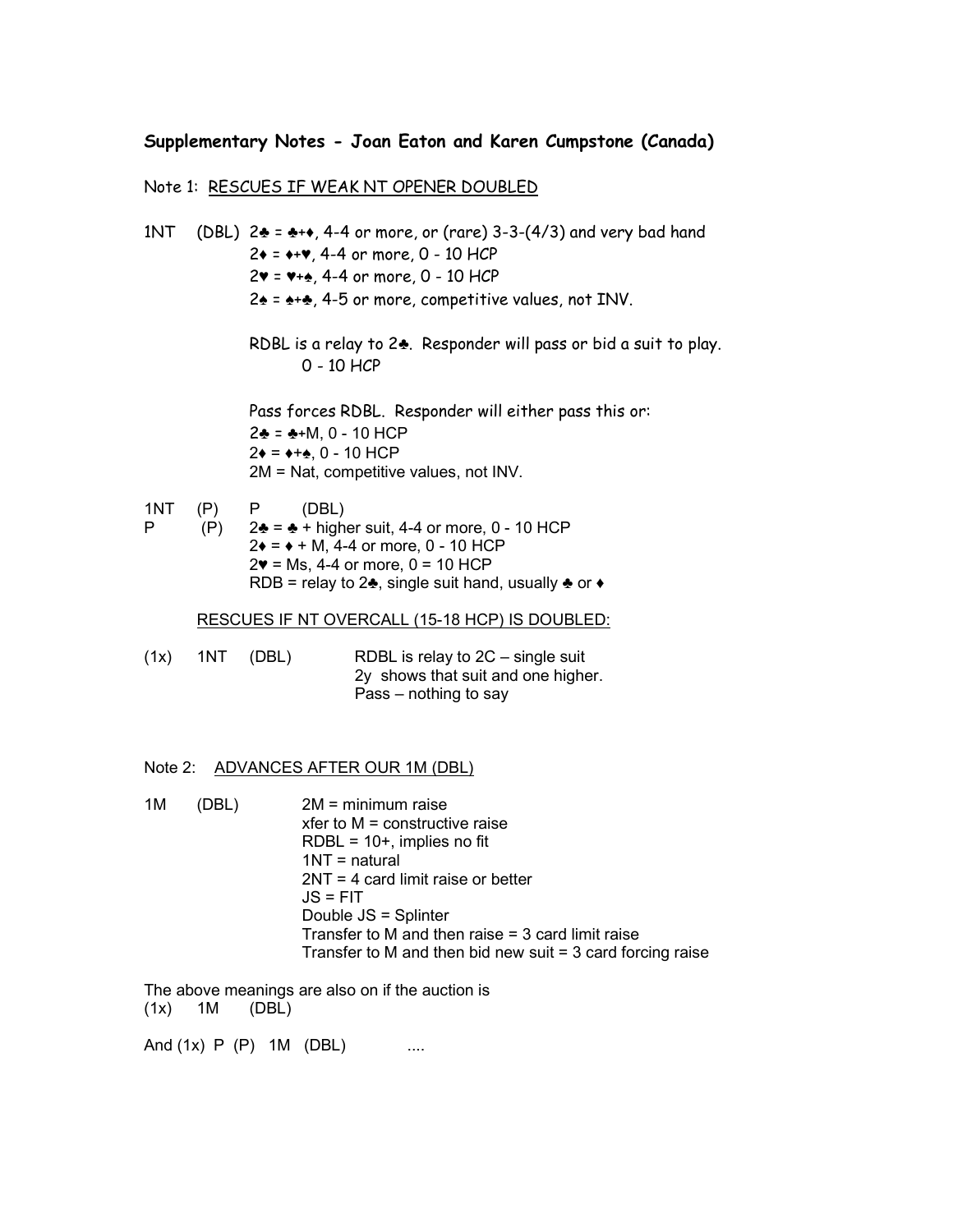## Supplementary Notes - Joan Eaton and Karen Cumpstone (Canada)

## Note 1: RESCUES IF WEAK NT OPENER DOUBLED

1NT (DBL)  $2\clubsuit = \clubsuit + \diamond$ , 4-4 or more, or (rare) 3-3-(4/3) and very bad hand  $2* = **$ , 4-4 or more, 0 - 10 HCP 2♥ = ♥+♠, 4-4 or more, 0 - 10 HCP 2♠ = ♠+♣, 4-5 or more, competitive values, not INV. RDBL is a relay to 2♣. Responder will pass or bid a suit to play. 0 - 10 HCP Pass forces RDBL. Responder will either pass this or: 2♣ = ♣+M, 0 - 10 HCP  $2\bullet = \bullet + \bullet$ , 0 - 10 HCP 2M = Nat, competitive values, not INV. 1NT (P) P (DBL) P (P)  $2\clubsuit = ⋅ \spadesuit + \text{higher suit}, 4-4 \text{ or more}, 0 - 10 \text{ HCP}$  $2 \div = \div + M$ , 4-4 or more, 0 - 10 HCP  $2$ **♥** = Ms, 4-4 or more,  $0 = 10$  HCP RDB = relay to 2 $\clubsuit$ , single suit hand, usually  $\clubsuit$  or  $\leftrightarrow$  RESCUES IF NT OVERCALL (15-18 HCP) IS DOUBLED: (1x) 1NT (DBL) RDBL is relay to 2C – single suit 2y shows that suit and one higher. Pass – nothing to say

## Note 2: ADVANCES AFTER OUR 1M (DBL)

1M (DBL) 2M = minimum raise xfer to M = constructive raise  $RDBL = 10 +$ , implies no fit 1NT = natural 2NT = 4 card limit raise or better  $JS = FIT$  Double JS = Splinter Transfer to M and then raise = 3 card limit raise Transfer to M and then bid new suit = 3 card forcing raise

The above meanings are also on if the auction is (1x) 1M (DBL)

And (1x) P (P) 1M (DBL) ....